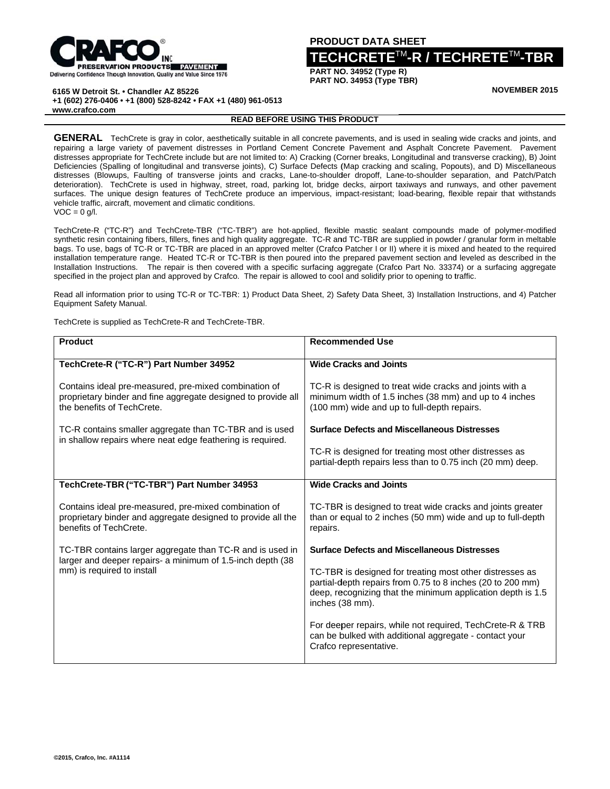

## **PRODU UCT DATA S SHEET**

## **TECH HCRETE**<sup>T</sup> TM**-R / TEC CHRETE**<sup>T</sup> TM**-TBR**

**PART NO O. 34952 (Type R) PART NO O. 34953 (Type T TBR)**

**NOVE EMBER 2015**

**6165 W Detroit St. • Chandler AZ 85226** 

 **+ 1 (602) 276-040 6 • +1 (800) 528 -8242 • FAX +1 (480) 961-0513**

**w www.crafco.com m**

## **READ BEFORE E USING THIS P PRODUCT**

GENERAL TechCrete is gray in color, aesthetically suitable in all concrete pavements, and is used in sealing wide cracks and joints, and repairing a large variety of pavement distresses in Portland Cement Concrete Pavement and Asphalt Concrete Pavement. Pavement distresses appropriate for TechCrete include but are not limited to: A) Cracking (Corner breaks, Longitudinal and transverse cracking), B) Joint Deficiencies (Spalling of longitudinal and transverse joints), C) Surface Defects (Map cracking and scaling, Popouts), and D) Miscellaneous distresses (Blowups, Faulting of transverse joints and cracks, Lane-to-shoulder dropoff, Lane-to-shoulder separation, and Patch/Patch deterioration). TechCrete is used in highway, street, road, parking lot, bridge decks, airport taxiways and runways, and other pavement surfaces. The unique design features of TechCrete produce an impervious, impact-resistant; load-bearing, flexible repair that withstands vehicle traffic, aircraft, movement and climatic conditions.  $VOC = 0 g/l.$ 

TechCrete-R ("TC-R") and TechCrete-TBR ("TC-TBR") are hot-applied, flexible mastic sealant compounds made of polymer-modified synthetic resin containing fibers, fillers, fines and high quality aggregate. TC-R and TC-TBR are supplied in powder / granular form in meltable bags. To use, bags of TC-R or TC-TBR are placed in an approved melter (Crafco Patcher I or II) where it is mixed and heated to the required installation temperature range. Heated TC-R or TC-TBR is then poured into the prepared pavement section and leveled as described in the Installation Instructions. The repair is then covered with a specific surfacing aggregate (Crafco Part No. 33374) or a surfacing aggregate specified in the project plan and approved by Crafco. The repair is allowed to cool and solidify prior to opening to traffic.

Read all information prior to using TC-R or TC-TBR: 1) Product Data Sheet, 2) Safety Data Sheet, 3) Installation Instructions, and 4) Patcher Equipment Safety Manual.

TechCrete is supplied as TechCrete-R and TechCrete-TBR.

| <b>Product</b>                                                                                                                                        | <b>Recommended Use</b>                                                                                                                                                                                   |  |
|-------------------------------------------------------------------------------------------------------------------------------------------------------|----------------------------------------------------------------------------------------------------------------------------------------------------------------------------------------------------------|--|
| TechCrete-R ("TC-R") Part Number 34952                                                                                                                | <b>Wide Cracks and Joints</b>                                                                                                                                                                            |  |
| Contains ideal pre-measured, pre-mixed combination of<br>proprietary binder and fine aggregate designed to provide all<br>the benefits of TechCrete.  | TC-R is designed to treat wide cracks and joints with a<br>minimum width of 1.5 inches (38 mm) and up to 4 inches<br>(100 mm) wide and up to full-depth repairs.                                         |  |
| TC-R contains smaller aggregate than TC-TBR and is used<br>in shallow repairs where neat edge feathering is required.                                 | <b>Surface Defects and Miscellaneous Distresses</b>                                                                                                                                                      |  |
|                                                                                                                                                       | TC-R is designed for treating most other distresses as<br>partial-depth repairs less than to 0.75 inch (20 mm) deep.                                                                                     |  |
| TechCrete-TBR ("TC-TBR") Part Number 34953                                                                                                            | <b>Wide Cracks and Joints</b>                                                                                                                                                                            |  |
| Contains ideal pre-measured, pre-mixed combination of<br>proprietary binder and aggregate designed to provide all the<br>benefits of TechCrete.       | TC-TBR is designed to treat wide cracks and joints greater<br>than or equal to 2 inches (50 mm) wide and up to full-depth<br>repairs.                                                                    |  |
| TC-TBR contains larger aggregate than TC-R and is used in<br>larger and deeper repairs- a minimum of 1.5-inch depth (38<br>mm) is required to install | <b>Surface Defects and Miscellaneous Distresses</b>                                                                                                                                                      |  |
|                                                                                                                                                       | TC-TBR is designed for treating most other distresses as<br>partial-depth repairs from 0.75 to 8 inches (20 to 200 mm)<br>deep, recognizing that the minimum application depth is 1.5<br>inches (38 mm). |  |
|                                                                                                                                                       | For deeper repairs, while not required, TechCrete-R & TRB<br>can be bulked with additional aggregate - contact your<br>Crafco representative.                                                            |  |